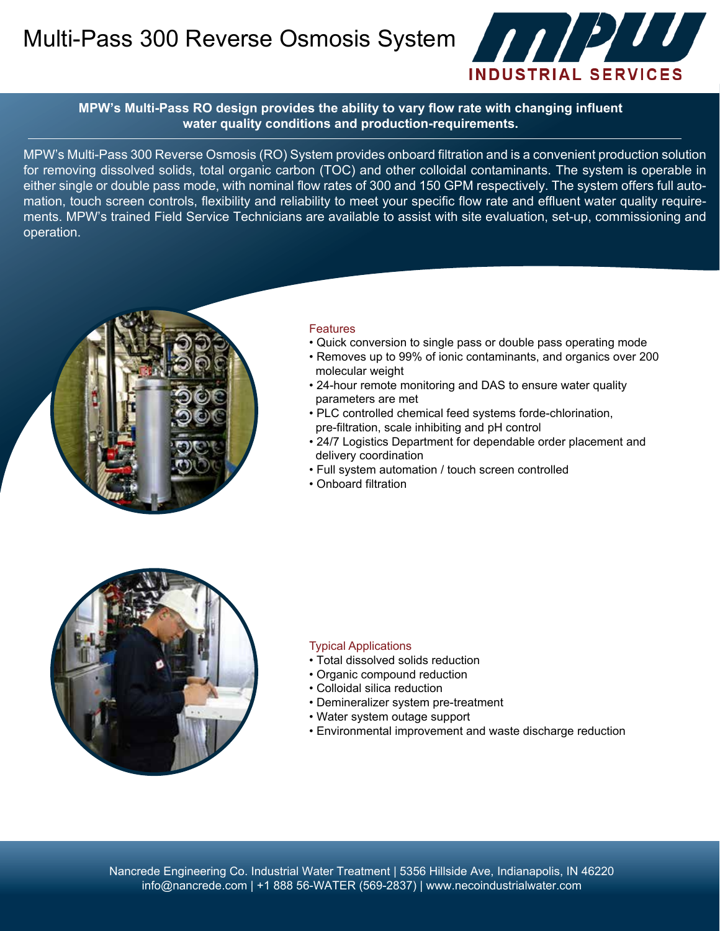Multi-Pass 300 Reverse Osmosis System **And Alternative System** 



**MPW's Multi-Pass RO design provides the ability to vary flow rate with changing influent water quality conditions and production-requirements.**

MPW's Multi-Pass 300 Reverse Osmosis (RO) System provides onboard filtration and is a convenient production solution for removing dissolved solids, total organic carbon (TOC) and other colloidal contaminants. The system is operable in either single or double pass mode, with nominal flow rates of 300 and 150 GPM respectively. The system offers full automation, touch screen controls, flexibility and reliability to meet your specific flow rate and effluent water quality requirements. MPW's trained Field Service Technicians are available to assist with site evaluation, set-up, commissioning and operation.



### **Features**

- Quick conversion to single pass or double pass operating mode
- Removes up to 99% of ionic contaminants, and organics over 200 molecular weight
- 24-hour remote monitoring and DAS to ensure water quality parameters are met
- PLC controlled chemical feed systems forde-chlorination, pre-filtration, scale inhibiting and pH control
- 24/7 Logistics Department for dependable order placement and delivery coordination
- Full system automation / touch screen controlled
- Onboard filtration



#### Typical Applications

- Total dissolved solids reduction
- Organic compound reduction
- Colloidal silica reduction
- Demineralizer system pre-treatment
- Water system outage support
- Environmental improvement and waste discharge reduction